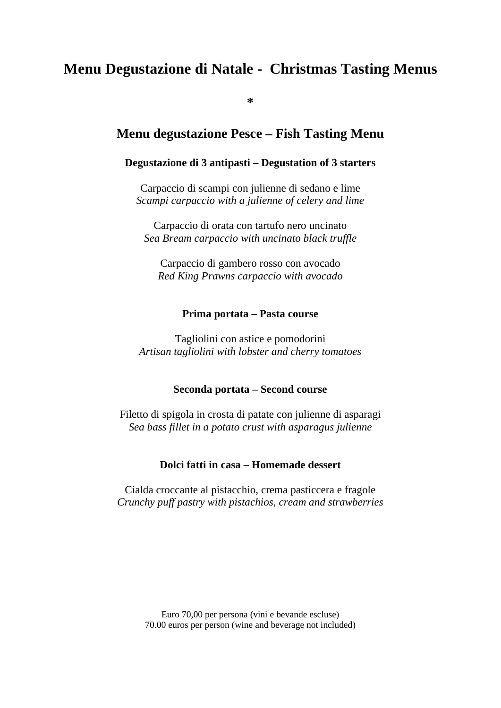# **Menu Degustazione di Natale - Christmas Tasting Menus**

**\***

## **Menu degustazione Pesce – Fish Tasting Menu**

### **Degustazione di 3 antipasti – Degustation of 3 starters**

Carpaccio di scampi con julienne di sedano e lime *Scampi carpaccio with a julienne of celery and lime*

Carpaccio di orata con tartufo nero uncinato *Sea Bream carpaccio with uncinato black truffle*

Carpaccio di gambero rosso con avocado *Red King Prawns carpaccio with avocado*

#### **Prima portata – Pasta course**

Tagliolini con astice e pomodorini *Artisan tagliolini with lobster and cherry tomatoes*

#### **Seconda portata – Second course**

Filetto di spigola in crosta di patate con julienne di asparagi *Sea bass fillet in a potato crust with asparagus julienne*

### **Dolci fatti in casa – Homemade dessert**

Cialda croccante al pistacchio, crema pasticcera e fragole *Crunchy puff pastry with pistachios, cream and strawberries*

> Euro 70,00 per persona (vini e bevande escluse) 70.00 euros per person (wine and beverage not included)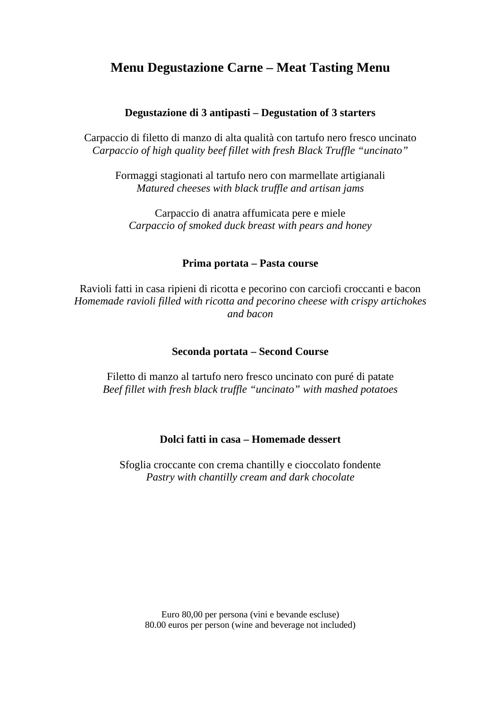## **Menu Degustazione Carne – Meat Tasting Menu**

## **Degustazione di 3 antipasti – Degustation of 3 starters**

Carpaccio di filetto di manzo di alta qualità con tartufo nero fresco uncinato *Carpaccio of high quality beef fillet with fresh Black Truffle "uncinato"*

Formaggi stagionati al tartufo nero con marmellate artigianali *Matured cheeses with black truffle and artisan jams*

Carpaccio di anatra affumicata pere e miele *Carpaccio of smoked duck breast with pears and honey*

#### **Prima portata – Pasta course**

Ravioli fatti in casa ripieni di ricotta e pecorino con carciofi croccanti e bacon *Homemade ravioli filled with ricotta and pecorino cheese with crispy artichokes and bacon*

#### **Seconda portata – Second Course**

Filetto di manzo al tartufo nero fresco uncinato con puré di patate *Beef fillet with fresh black truffle "uncinato" with mashed potatoes*

## **Dolci fatti in casa – Homemade dessert**

Sfoglia croccante con crema chantilly e cioccolato fondente *Pastry with chantilly cream and dark chocolate*

Euro 80,00 per persona (vini e bevande escluse) 80.00 euros per person (wine and beverage not included)